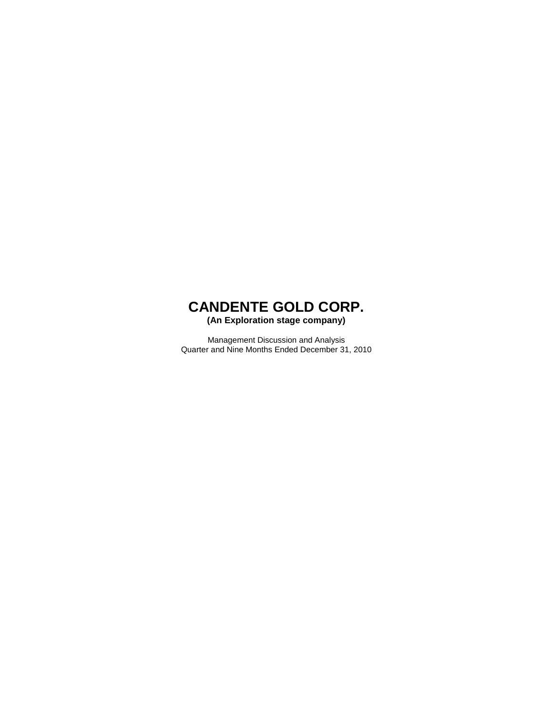**(An Exploration stage company)** 

Management Discussion and Analysis Quarter and Nine Months Ended December 31, 2010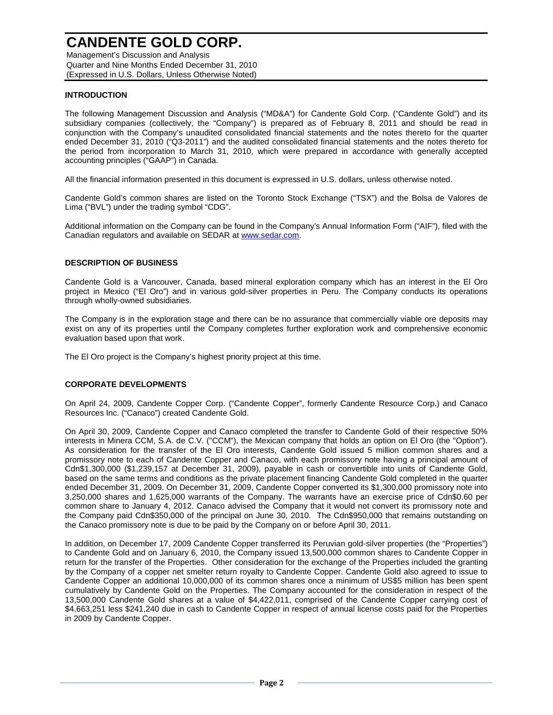Management's Discussion and Analysis Quarter and Nine Months Ended December 31, 2010 (Expressed in U.S. Dollars, Unless Otherwise Noted)

### **INTRODUCTION**

The following Management Discussion and Analysis ("MD&A") for Candente Gold Corp. ("Candente Gold") and its subsidiary companies (collectively, the "Company") is prepared as of February 8, 2011 and should be read in conjunction with the Company's unaudited consolidated financial statements and the notes thereto for the quarter ended December 31, 2010 ("Q3-2011") and the audited consolidated financial statements and the notes thereto for the period from incorporation to March 31, 2010, which were prepared in accordance with generally accepted accounting principles ("GAAP") in Canada.

All the financial information presented in this document is expressed in U.S. dollars, unless otherwise noted.

Candente Gold's common shares are listed on the Toronto Stock Exchange ("TSX") and the Bolsa de Valores de Lima ("BVL") under the trading symbol "CDG".

Additional information on the Company can be found in the Company's Annual Information Form ("AIF"), filed with the Canadian regulators and available on SEDAR at www.sedar.com.

### **DESCRIPTION OF BUSINESS**

Candente Gold is a Vancouver, Canada, based mineral exploration company which has an interest in the El Oro project in Mexico ("El Oro") and in various gold-silver properties in Peru. The Company conducts its operations through wholly-owned subsidiaries.

The Company is in the exploration stage and there can be no assurance that commercially viable ore deposits may exist on any of its properties until the Company completes further exploration work and comprehensive economic evaluation based upon that work.

The El Oro project is the Company's highest priority project at this time.

### **CORPORATE DEVELOPMENTS**

On April 24, 2009, Candente Copper Corp. ("Candente Copper", formerly Candente Resource Corp.) and Canaco Resources Inc. ("Canaco") created Candente Gold.

On April 30, 2009, Candente Copper and Canaco completed the transfer to Candente Gold of their respective 50% interests in Minera CCM, S.A. de C.V. ("CCM"), the Mexican company that holds an option on El Oro (the "Option"). As consideration for the transfer of the El Oro interests, Candente Gold issued 5 million common shares and a promissory note to each of Candente Copper and Canaco, with each promissory note having a principal amount of Cdn\$1,300,000 (\$1,239,157 at December 31, 2009), payable in cash or convertible into units of Candente Gold, based on the same terms and conditions as the private placement financing Candente Gold completed in the quarter ended December 31, 2009. On December 31, 2009, Candente Copper converted its \$1,300,000 promissory note into 3,250,000 shares and 1,625,000 warrants of the Company. The warrants have an exercise price of Cdn\$0.60 per common share to January 4, 2012. Canaco advised the Company that it would not convert its promissory note and the Company paid Cdn\$350,000 of the principal on June 30, 2010. The Cdn\$950,000 that remains outstanding on the Canaco promissory note is due to be paid by the Company on or before April 30, 2011.

In addition, on December 17, 2009 Candente Copper transferred its Peruvian gold-silver properties (the "Properties") to Candente Gold and on January 6, 2010, the Company issued 13,500,000 common shares to Candente Copper in return for the transfer of the Properties. Other consideration for the exchange of the Properties included the granting by the Company of a copper net smelter return royalty to Candente Copper. Candente Gold also agreed to issue to Candente Copper an additional 10,000,000 of its common shares once a minimum of US\$5 million has been spent cumulatively by Candente Gold on the Properties. The Company accounted for the consideration in respect of the 13,500,000 Candente Gold shares at a value of \$4,422,011, comprised of the Candente Copper carrying cost of \$4,663,251 less \$241,240 due in cash to Candente Copper in respect of annual license costs paid for the Properties in 2009 by Candente Copper.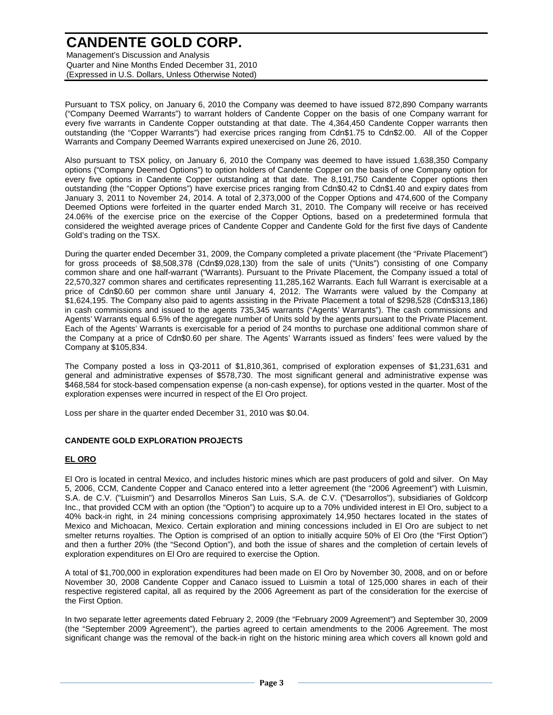Management's Discussion and Analysis Quarter and Nine Months Ended December 31, 2010 (Expressed in U.S. Dollars, Unless Otherwise Noted)

Pursuant to TSX policy, on January 6, 2010 the Company was deemed to have issued 872,890 Company warrants ("Company Deemed Warrants") to warrant holders of Candente Copper on the basis of one Company warrant for every five warrants in Candente Copper outstanding at that date. The 4,364,450 Candente Copper warrants then outstanding (the "Copper Warrants") had exercise prices ranging from Cdn\$1.75 to Cdn\$2.00. All of the Copper Warrants and Company Deemed Warrants expired unexercised on June 26, 2010.

Also pursuant to TSX policy, on January 6, 2010 the Company was deemed to have issued 1,638,350 Company options ("Company Deemed Options") to option holders of Candente Copper on the basis of one Company option for every five options in Candente Copper outstanding at that date. The 8,191,750 Candente Copper options then outstanding (the "Copper Options") have exercise prices ranging from Cdn\$0.42 to Cdn\$1.40 and expiry dates from January 3, 2011 to November 24, 2014. A total of 2,373,000 of the Copper Options and 474,600 of the Company Deemed Options were forfeited in the quarter ended March 31, 2010. The Company will receive or has received 24.06% of the exercise price on the exercise of the Copper Options, based on a predetermined formula that considered the weighted average prices of Candente Copper and Candente Gold for the first five days of Candente Gold's trading on the TSX.

During the quarter ended December 31, 2009, the Company completed a private placement (the "Private Placement") for gross proceeds of \$8,508,378 (Cdn\$9,028,130) from the sale of units ("Units") consisting of one Company common share and one half-warrant ("Warrants). Pursuant to the Private Placement, the Company issued a total of 22,570,327 common shares and certificates representing 11,285,162 Warrants. Each full Warrant is exercisable at a price of Cdn\$0.60 per common share until January 4, 2012. The Warrants were valued by the Company at \$1,624,195. The Company also paid to agents assisting in the Private Placement a total of \$298,528 (Cdn\$313,186) in cash commissions and issued to the agents 735,345 warrants ("Agents' Warrants"). The cash commissions and Agents' Warrants equal 6.5% of the aggregate number of Units sold by the agents pursuant to the Private Placement. Each of the Agents' Warrants is exercisable for a period of 24 months to purchase one additional common share of the Company at a price of Cdn\$0.60 per share. The Agents' Warrants issued as finders' fees were valued by the Company at \$105,834.

The Company posted a loss in Q3-2011 of \$1,810,361, comprised of exploration expenses of \$1,231,631 and general and administrative expenses of \$578,730. The most significant general and administrative expense was \$468,584 for stock-based compensation expense (a non-cash expense), for options vested in the quarter. Most of the exploration expenses were incurred in respect of the El Oro project.

Loss per share in the quarter ended December 31, 2010 was \$0.04.

#### **CANDENTE GOLD EXPLORATION PROJECTS**

#### **EL ORO**

El Oro is located in central Mexico, and includes historic mines which are past producers of gold and silver. On May 5, 2006, CCM, Candente Copper and Canaco entered into a letter agreement (the "2006 Agreement") with Luismin, S.A. de C.V. ("Luismin") and Desarrollos Mineros San Luis, S.A. de C.V. ("Desarrollos"), subsidiaries of Goldcorp Inc., that provided CCM with an option (the "Option") to acquire up to a 70% undivided interest in El Oro, subject to a 40% back-in right, in 24 mining concessions comprising approximately 14,950 hectares located in the states of Mexico and Michoacan, Mexico. Certain exploration and mining concessions included in El Oro are subject to net smelter returns royalties. The Option is comprised of an option to initially acquire 50% of El Oro (the "First Option") and then a further 20% (the "Second Option"), and both the issue of shares and the completion of certain levels of exploration expenditures on El Oro are required to exercise the Option.

A total of \$1,700,000 in exploration expenditures had been made on El Oro by November 30, 2008, and on or before November 30, 2008 Candente Copper and Canaco issued to Luismin a total of 125,000 shares in each of their respective registered capital, all as required by the 2006 Agreement as part of the consideration for the exercise of the First Option.

In two separate letter agreements dated February 2, 2009 (the "February 2009 Agreement") and September 30, 2009 (the "September 2009 Agreement"), the parties agreed to certain amendments to the 2006 Agreement. The most significant change was the removal of the back-in right on the historic mining area which covers all known gold and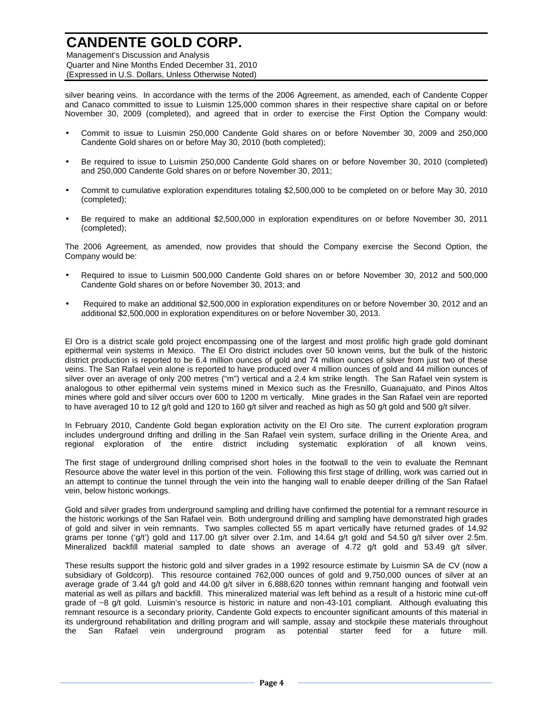Management's Discussion and Analysis Quarter and Nine Months Ended December 31, 2010 (Expressed in U.S. Dollars, Unless Otherwise Noted)

silver bearing veins. In accordance with the terms of the 2006 Agreement, as amended, each of Candente Copper and Canaco committed to issue to Luismin 125,000 common shares in their respective share capital on or before November 30, 2009 (completed), and agreed that in order to exercise the First Option the Company would:

- Commit to issue to Luismin 250,000 Candente Gold shares on or before November 30, 2009 and 250,000 Candente Gold shares on or before May 30, 2010 (both completed);
- Be required to issue to Luismin 250,000 Candente Gold shares on or before November 30, 2010 (completed) and 250,000 Candente Gold shares on or before November 30, 2011;
- Commit to cumulative exploration expenditures totaling \$2,500,000 to be completed on or before May 30, 2010 (completed);
- Be required to make an additional \$2,500,000 in exploration expenditures on or before November 30, 2011 (completed);

The 2006 Agreement, as amended, now provides that should the Company exercise the Second Option, the Company would be:

- Required to issue to Luismin 500,000 Candente Gold shares on or before November 30, 2012 and 500,000 Candente Gold shares on or before November 30, 2013; and
- Required to make an additional \$2,500,000 in exploration expenditures on or before November 30, 2012 and an additional \$2,500,000 in exploration expenditures on or before November 30, 2013.

El Oro is a district scale gold project encompassing one of the largest and most prolific high grade gold dominant epithermal vein systems in Mexico. The El Oro district includes over 50 known veins, but the bulk of the historic district production is reported to be 6.4 million ounces of gold and 74 million ounces of silver from just two of these veins. The San Rafael vein alone is reported to have produced over 4 million ounces of gold and 44 million ounces of silver over an average of only 200 metres ("m") vertical and a 2.4 km strike length. The San Rafael vein system is analogous to other epithermal vein systems mined in Mexico such as the Fresnillo, Guanajuato, and Pinos Altos mines where gold and silver occurs over 600 to 1200 m vertically. Mine grades in the San Rafael vein are reported to have averaged 10 to 12 g/t gold and 120 to 160 g/t silver and reached as high as 50 g/t gold and 500 g/t silver.

In February 2010, Candente Gold began exploration activity on the El Oro site. The current exploration program includes underground drifting and drilling in the San Rafael vein system, surface drilling in the Oriente Area, and regional exploration of the entire district including systematic exploration of all known veins.

The first stage of underground drilling comprised short holes in the footwall to the vein to evaluate the Remnant Resource above the water level in this portion of the vein. Following this first stage of drilling, work was carried out in an attempt to continue the tunnel through the vein into the hanging wall to enable deeper drilling of the San Rafael vein, below historic workings.

Gold and silver grades from underground sampling and drilling have confirmed the potential for a remnant resource in the historic workings of the San Rafael vein. Both underground drilling and sampling have demonstrated high grades of gold and silver in vein remnants. Two samples collected 55 m apart vertically have returned grades of 14.92 grams per tonne ('g/t') gold and 117.00 g/t silver over 2.1m, and 14.64 g/t gold and 54.50 g/t silver over 2.5m. Mineralized backfill material sampled to date shows an average of 4.72 g/t gold and 53.49 g/t silver.

These results support the historic gold and silver grades in a 1992 resource estimate by Luismin SA de CV (now a subsidiary of Goldcorp). This resource contained 762,000 ounces of gold and 9,750,000 ounces of silver at an average grade of 3.44 g/t gold and 44.00 g/t silver in 6,888,620 tonnes within remnant hanging and footwall vein material as well as pillars and backfill. This mineralized material was left behind as a result of a historic mine cut-off grade of ~8 g/t gold. Luismin's resource is historic in nature and non-43-101 compliant. Although evaluating this remnant resource is a secondary priority, Candente Gold expects to encounter significant amounts of this material in its underground rehabilitation and drilling program and will sample, assay and stockpile these materials throughout the San Rafael vein underground program as potential starter feed for a future mill.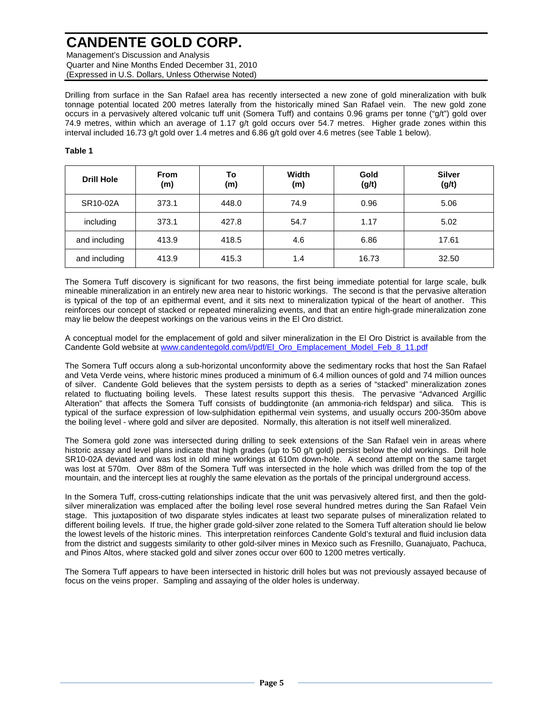Management's Discussion and Analysis Quarter and Nine Months Ended December 31, 2010 (Expressed in U.S. Dollars, Unless Otherwise Noted)

Drilling from surface in the San Rafael area has recently intersected a new zone of gold mineralization with bulk tonnage potential located 200 metres laterally from the historically mined San Rafael vein. The new gold zone occurs in a pervasively altered volcanic tuff unit (Somera Tuff) and contains 0.96 grams per tonne ("g/t") gold over 74.9 metres, within which an average of 1.17 g/t gold occurs over 54.7 metres. Higher grade zones within this interval included 16.73 g/t gold over 1.4 metres and 6.86 g/t gold over 4.6 metres (see Table 1 below).

#### **Table 1**

| <b>Drill Hole</b> | <b>From</b><br>(m) | To<br>(m) | Width<br>(m) | Gold<br>(g/t) | <b>Silver</b><br>(g/t) |
|-------------------|--------------------|-----------|--------------|---------------|------------------------|
| SR10-02A          | 373.1              | 448.0     | 74.9         | 0.96          | 5.06                   |
| including         | 373.1              | 427.8     | 54.7         | 1.17          | 5.02                   |
| and including     | 413.9              | 418.5     | 4.6          | 6.86          | 17.61                  |
| and including     | 413.9              | 415.3     | 1.4          | 16.73         | 32.50                  |

The Somera Tuff discovery is significant for two reasons, the first being immediate potential for large scale, bulk mineable mineralization in an entirely new area near to historic workings. The second is that the pervasive alteration is typical of the top of an epithermal event, and it sits next to mineralization typical of the heart of another. This reinforces our concept of stacked or repeated mineralizing events, and that an entire high-grade mineralization zone may lie below the deepest workings on the various veins in the El Oro district.

A conceptual model for the emplacement of gold and silver mineralization in the El Oro District is available from the Candente Gold website at www.candentegold.com/i/pdf/El\_Oro\_Emplacement\_Model\_Feb\_8\_11.pdf

The Somera Tuff occurs along a sub-horizontal unconformity above the sedimentary rocks that host the San Rafael and Veta Verde veins, where historic mines produced a minimum of 6.4 million ounces of gold and 74 million ounces of silver. Candente Gold believes that the system persists to depth as a series of "stacked" mineralization zones related to fluctuating boiling levels. These latest results support this thesis. The pervasive "Advanced Argillic Alteration" that affects the Somera Tuff consists of buddingtonite (an ammonia-rich feldspar) and silica. This is typical of the surface expression of low-sulphidation epithermal vein systems, and usually occurs 200-350m above the boiling level - where gold and silver are deposited. Normally, this alteration is not itself well mineralized.

The Somera gold zone was intersected during drilling to seek extensions of the San Rafael vein in areas where historic assay and level plans indicate that high grades (up to 50 g/t gold) persist below the old workings. Drill hole SR10-02A deviated and was lost in old mine workings at 610m down-hole. A second attempt on the same target was lost at 570m. Over 88m of the Somera Tuff was intersected in the hole which was drilled from the top of the mountain, and the intercept lies at roughly the same elevation as the portals of the principal underground access.

In the Somera Tuff, cross-cutting relationships indicate that the unit was pervasively altered first, and then the goldsilver mineralization was emplaced after the boiling level rose several hundred metres during the San Rafael Vein stage. This juxtaposition of two disparate styles indicates at least two separate pulses of mineralization related to different boiling levels. If true, the higher grade gold-silver zone related to the Somera Tuff alteration should lie below the lowest levels of the historic mines. This interpretation reinforces Candente Gold's textural and fluid inclusion data from the district and suggests similarity to other gold-silver mines in Mexico such as Fresnillo, Guanajuato, Pachuca, and Pinos Altos, where stacked gold and silver zones occur over 600 to 1200 metres vertically.

The Somera Tuff appears to have been intersected in historic drill holes but was not previously assayed because of focus on the veins proper. Sampling and assaying of the older holes is underway.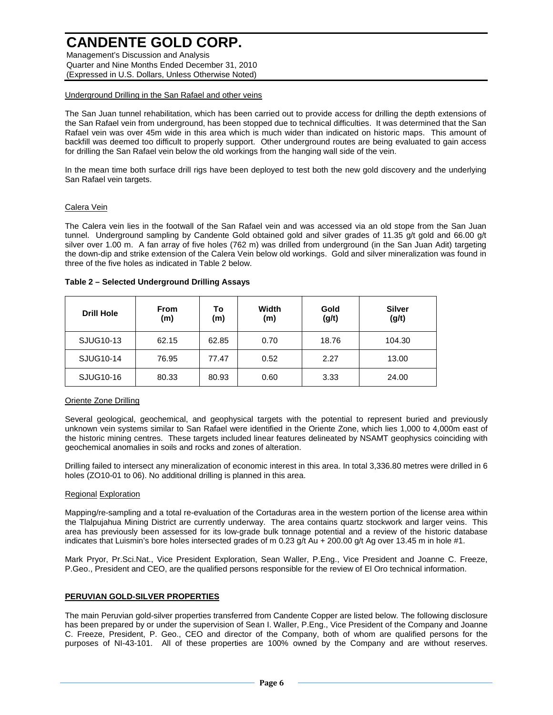Management's Discussion and Analysis Quarter and Nine Months Ended December 31, 2010 (Expressed in U.S. Dollars, Unless Otherwise Noted)

#### Underground Drilling in the San Rafael and other veins

The San Juan tunnel rehabilitation, which has been carried out to provide access for drilling the depth extensions of the San Rafael vein from underground, has been stopped due to technical difficulties. It was determined that the San Rafael vein was over 45m wide in this area which is much wider than indicated on historic maps. This amount of backfill was deemed too difficult to properly support. Other underground routes are being evaluated to gain access for drilling the San Rafael vein below the old workings from the hanging wall side of the vein.

In the mean time both surface drill rigs have been deployed to test both the new gold discovery and the underlying San Rafael vein targets.

### Calera Vein

The Calera vein lies in the footwall of the San Rafael vein and was accessed via an old stope from the San Juan tunnel. Underground sampling by Candente Gold obtained gold and silver grades of 11.35 g/t gold and 66.00 g/t silver over 1.00 m. A fan array of five holes (762 m) was drilled from underground (in the San Juan Adit) targeting the down-dip and strike extension of the Calera Vein below old workings. Gold and silver mineralization was found in three of the five holes as indicated in Table 2 below.

| <b>Drill Hole</b> | <b>From</b><br>(m) | Т٥<br>(m) | Width<br>(m) | Gold<br>(g/t) | <b>Silver</b><br>(g/t) |
|-------------------|--------------------|-----------|--------------|---------------|------------------------|
| SJUG10-13         | 62.15              | 62.85     | 0.70         | 18.76         | 104.30                 |
| SJUG10-14         | 76.95              | 77.47     | 0.52         | 2.27          | 13.00                  |
| SJUG10-16         | 80.33              | 80.93     | 0.60         | 3.33          | 24.00                  |

#### **Table 2 – Selected Underground Drilling Assays**

#### Oriente Zone Drilling

Several geological, geochemical, and geophysical targets with the potential to represent buried and previously unknown vein systems similar to San Rafael were identified in the Oriente Zone, which lies 1,000 to 4,000m east of the historic mining centres. These targets included linear features delineated by NSAMT geophysics coinciding with geochemical anomalies in soils and rocks and zones of alteration.

Drilling failed to intersect any mineralization of economic interest in this area. In total 3,336.80 metres were drilled in 6 holes (ZO10-01 to 06). No additional drilling is planned in this area.

#### Regional Exploration

Mapping/re-sampling and a total re-evaluation of the Cortaduras area in the western portion of the license area within the Tlalpujahua Mining District are currently underway. The area contains quartz stockwork and larger veins. This area has previously been assessed for its low-grade bulk tonnage potential and a review of the historic database indicates that Luismin's bore holes intersected grades of m 0.23  $q/t$  Au + 200.00 g/t Ag over 13.45 m in hole #1.

Mark Pryor, Pr.Sci.Nat., Vice President Exploration, Sean Waller, P.Eng., Vice President and Joanne C. Freeze, P.Geo., President and CEO, are the qualified persons responsible for the review of El Oro technical information.

### **PERUVIAN GOLD-SILVER PROPERTIES**

The main Peruvian gold-silver properties transferred from Candente Copper are listed below. The following disclosure has been prepared by or under the supervision of Sean I. Waller, P.Eng., Vice President of the Company and Joanne C. Freeze, President, P. Geo., CEO and director of the Company, both of whom are qualified persons for the purposes of NI-43-101. All of these properties are 100% owned by the Company and are without reserves.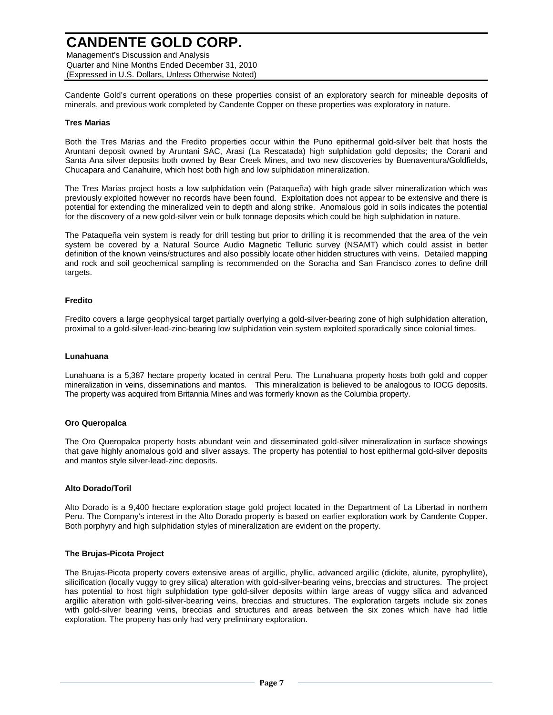Management's Discussion and Analysis Quarter and Nine Months Ended December 31, 2010 (Expressed in U.S. Dollars, Unless Otherwise Noted)

Candente Gold's current operations on these properties consist of an exploratory search for mineable deposits of minerals, and previous work completed by Candente Copper on these properties was exploratory in nature.

#### **Tres Marias**

Both the Tres Marias and the Fredito properties occur within the Puno epithermal gold-silver belt that hosts the Aruntani deposit owned by Aruntani SAC, Arasi (La Rescatada) high sulphidation gold deposits; the Corani and Santa Ana silver deposits both owned by Bear Creek Mines, and two new discoveries by Buenaventura/Goldfields, Chucapara and Canahuire, which host both high and low sulphidation mineralization.

The Tres Marias project hosts a low sulphidation vein (Pataqueña) with high grade silver mineralization which was previously exploited however no records have been found. Exploitation does not appear to be extensive and there is potential for extending the mineralized vein to depth and along strike. Anomalous gold in soils indicates the potential for the discovery of a new gold-silver vein or bulk tonnage deposits which could be high sulphidation in nature.

The Pataqueña vein system is ready for drill testing but prior to drilling it is recommended that the area of the vein system be covered by a Natural Source Audio Magnetic Telluric survey (NSAMT) which could assist in better definition of the known veins/structures and also possibly locate other hidden structures with veins. Detailed mapping and rock and soil geochemical sampling is recommended on the Soracha and San Francisco zones to define drill targets.

#### **Fredito**

Fredito covers a large geophysical target partially overlying a gold-silver-bearing zone of high sulphidation alteration, proximal to a gold-silver-lead-zinc-bearing low sulphidation vein system exploited sporadically since colonial times.

#### **Lunahuana**

Lunahuana is a 5,387 hectare property located in central Peru. The Lunahuana property hosts both gold and copper mineralization in veins, disseminations and mantos. This mineralization is believed to be analogous to IOCG deposits. The property was acquired from Britannia Mines and was formerly known as the Columbia property.

#### **Oro Queropalca**

The Oro Queropalca property hosts abundant vein and disseminated gold-silver mineralization in surface showings that gave highly anomalous gold and silver assays. The property has potential to host epithermal gold-silver deposits and mantos style silver-lead-zinc deposits.

#### **Alto Dorado/Toril**

Alto Dorado is a 9,400 hectare exploration stage gold project located in the Department of La Libertad in northern Peru. The Company's interest in the Alto Dorado property is based on earlier exploration work by Candente Copper. Both porphyry and high sulphidation styles of mineralization are evident on the property.

#### **The Brujas-Picota Project**

The Brujas-Picota property covers extensive areas of argillic, phyllic, advanced argillic (dickite, alunite, pyrophyllite), silicification (locally vuggy to grey silica) alteration with gold-silver-bearing veins, breccias and structures. The project has potential to host high sulphidation type gold-silver deposits within large areas of vuggy silica and advanced argillic alteration with gold-silver-bearing veins, breccias and structures. The exploration targets include six zones with gold-silver bearing veins, breccias and structures and areas between the six zones which have had little exploration. The property has only had very preliminary exploration.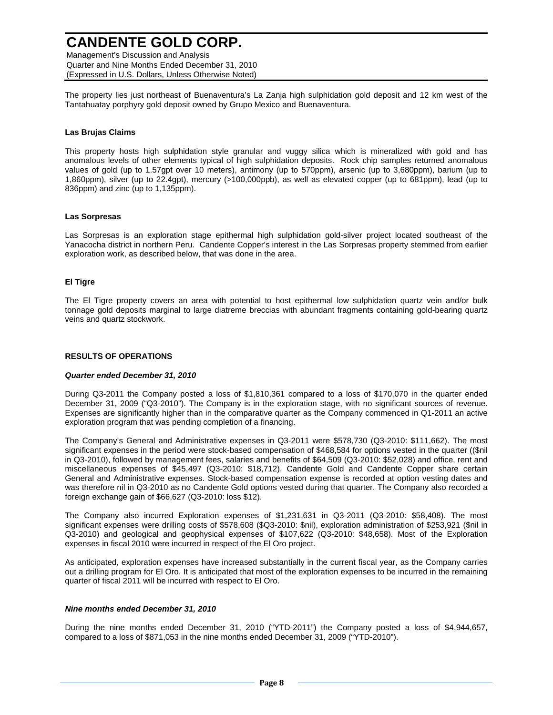Management's Discussion and Analysis Quarter and Nine Months Ended December 31, 2010 (Expressed in U.S. Dollars, Unless Otherwise Noted)

The property lies just northeast of Buenaventura's La Zanja high sulphidation gold deposit and 12 km west of the Tantahuatay porphyry gold deposit owned by Grupo Mexico and Buenaventura.

#### **Las Brujas Claims**

This property hosts high sulphidation style granular and vuggy silica which is mineralized with gold and has anomalous levels of other elements typical of high sulphidation deposits. Rock chip samples returned anomalous values of gold (up to 1.57gpt over 10 meters), antimony (up to 570ppm), arsenic (up to 3,680ppm), barium (up to 1,860ppm), silver (up to 22.4gpt), mercury (>100,000ppb), as well as elevated copper (up to 681ppm), lead (up to 836ppm) and zinc (up to 1,135ppm).

#### **Las Sorpresas**

Las Sorpresas is an exploration stage epithermal high sulphidation gold-silver project located southeast of the Yanacocha district in northern Peru. Candente Copper's interest in the Las Sorpresas property stemmed from earlier exploration work, as described below, that was done in the area.

#### **El Tigre**

The El Tigre property covers an area with potential to host epithermal low sulphidation quartz vein and/or bulk tonnage gold deposits marginal to large diatreme breccias with abundant fragments containing gold-bearing quartz veins and quartz stockwork.

#### **RESULTS OF OPERATIONS**

#### **Quarter ended December 31, 2010**

During Q3-2011 the Company posted a loss of \$1,810,361 compared to a loss of \$170,070 in the quarter ended December 31, 2009 ("Q3-2010"). The Company is in the exploration stage, with no significant sources of revenue. Expenses are significantly higher than in the comparative quarter as the Company commenced in Q1-2011 an active exploration program that was pending completion of a financing.

The Company's General and Administrative expenses in Q3-2011 were \$578,730 (Q3-2010: \$111,662). The most significant expenses in the period were stock-based compensation of \$468,584 for options vested in the quarter ((\$nil in Q3-2010), followed by management fees, salaries and benefits of \$64,509 (Q3-2010: \$52,028) and office, rent and miscellaneous expenses of \$45,497 (Q3-2010: \$18,712). Candente Gold and Candente Copper share certain General and Administrative expenses. Stock-based compensation expense is recorded at option vesting dates and was therefore nil in Q3-2010 as no Candente Gold options vested during that quarter. The Company also recorded a foreign exchange gain of \$66,627 (Q3-2010: loss \$12).

The Company also incurred Exploration expenses of \$1,231,631 in Q3-2011 (Q3-2010: \$58,408). The most significant expenses were drilling costs of \$578,608 (\$Q3-2010: \$nil), exploration administration of \$253,921 (\$nil in Q3-2010) and geological and geophysical expenses of \$107,622 (Q3-2010: \$48,658). Most of the Exploration expenses in fiscal 2010 were incurred in respect of the El Oro project.

As anticipated, exploration expenses have increased substantially in the current fiscal year, as the Company carries out a drilling program for El Oro. It is anticipated that most of the exploration expenses to be incurred in the remaining quarter of fiscal 2011 will be incurred with respect to El Oro.

#### **Nine months ended December 31, 2010**

During the nine months ended December 31, 2010 ("YTD-2011") the Company posted a loss of \$4,944,657, compared to a loss of \$871,053 in the nine months ended December 31, 2009 ("YTD-2010").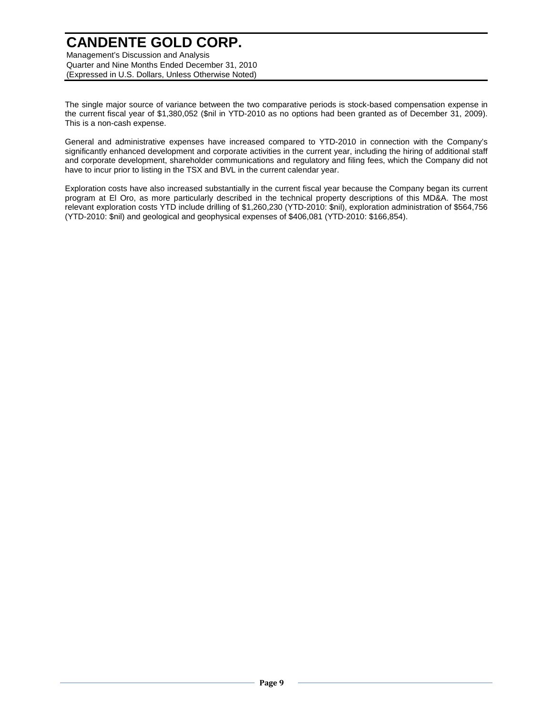Management's Discussion and Analysis Quarter and Nine Months Ended December 31, 2010 (Expressed in U.S. Dollars, Unless Otherwise Noted)

The single major source of variance between the two comparative periods is stock-based compensation expense in the current fiscal year of \$1,380,052 (\$nil in YTD-2010 as no options had been granted as of December 31, 2009). This is a non-cash expense.

General and administrative expenses have increased compared to YTD-2010 in connection with the Company's significantly enhanced development and corporate activities in the current year, including the hiring of additional staff and corporate development, shareholder communications and regulatory and filing fees, which the Company did not have to incur prior to listing in the TSX and BVL in the current calendar year.

Exploration costs have also increased substantially in the current fiscal year because the Company began its current program at El Oro, as more particularly described in the technical property descriptions of this MD&A. The most relevant exploration costs YTD include drilling of \$1,260,230 (YTD-2010: \$nil), exploration administration of \$564,756 (YTD-2010: \$nil) and geological and geophysical expenses of \$406,081 (YTD-2010: \$166,854).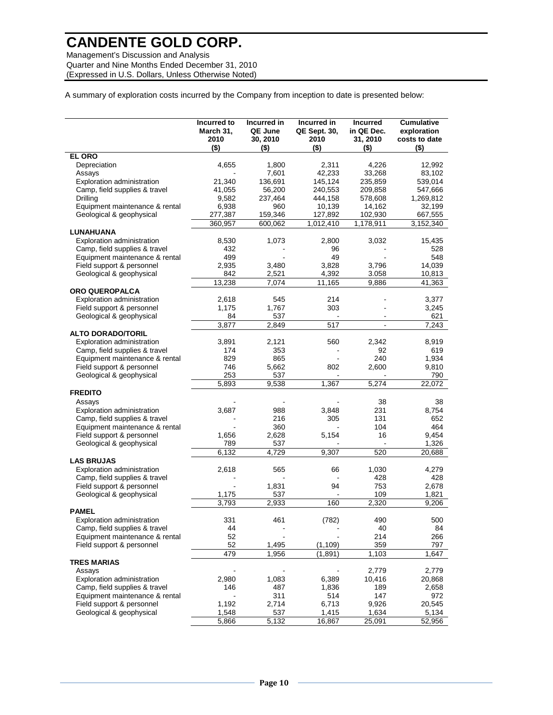Management's Discussion and Analysis Quarter and Nine Months Ended December 31, 2010 (Expressed in U.S. Dollars, Unless Otherwise Noted)

A summary of exploration costs incurred by the Company from inception to date is presented below:

| <b>EL ORO</b><br>Depreciation<br>4,655<br>1.800<br>2,311<br>4,226<br>12,992<br>7,601<br>42,233<br>83,102<br>Assays<br>33,268<br>Exploration administration<br>21,340<br>136,691<br>145,124<br>235,859<br>539,014<br>Camp, field supplies & travel<br>41,055<br>56,200<br>240,553<br>209,858<br>547,666<br>Drilling<br>9,582<br>444,158<br>578,608<br>237,464<br>1,269,812<br>Equipment maintenance & rental<br>6,938<br>960<br>10,139<br>14,162<br>32,199<br>Geological & geophysical<br>277,387<br>102,930<br>159,346<br>127,892<br>667,555<br>360,957<br>600,062<br>1,012,410<br>1,178,911<br>3,152,340<br>LUNAHUANA<br>Exploration administration<br>8,530<br>1,073<br>2,800<br>3,032<br>15,435<br>Camp, field supplies & travel<br>432<br>96<br>528<br>Equipment maintenance & rental<br>499<br>548<br>49<br>Field support & personnel<br>2,935<br>3,828<br>3,796<br>14,039<br>3,480<br>Geological & geophysical<br>4,392<br>842<br>2,521<br>3.058<br>10,813<br>13,238<br>7,074<br>11,165<br>9,886<br>41,363<br><b>ORO QUEROPALCA</b><br>Exploration administration<br>214<br>2,618<br>545<br>3,377<br>Field support & personnel<br>1,175<br>1,767<br>303<br>3,245<br>Geological & geophysical<br>84<br>537<br>621<br>517<br>3,877<br>2,849<br>7,243<br><b>ALTO DORADO/TORIL</b><br>Exploration administration<br>3,891<br>2,121<br>560<br>2,342<br>8,919<br>Camp, field supplies & travel<br>353<br>174<br>92<br>619<br>Equipment maintenance & rental<br>829<br>865<br>240<br>1,934<br>Field support & personnel<br>746<br>5,662<br>802<br>2,600<br>9,810<br>253<br>Geological & geophysical<br>537<br>790<br>1,367<br>5,893<br>9,538<br>5,274<br>22,072<br><b>FREDITO</b><br>Assays<br>38<br>38<br>Exploration administration<br>3,687<br>988<br>3,848<br>231<br>8,754<br>Camp, field supplies & travel<br>216<br>305<br>131<br>652<br>Equipment maintenance & rental<br>360<br>104<br>464<br>Field support & personnel<br>2,628<br>5,154<br>16<br>9,454<br>1,656<br>Geological & geophysical<br>789<br>537<br>1,326<br>6,132<br>4,729<br>9,307<br>520<br>20,688<br><b>LAS BRUJAS</b><br><b>Exploration administration</b><br>2,618<br>565<br>66<br>1,030<br>4,279<br>Camp, field supplies & travel<br>428<br>428<br>Field support & personnel<br>94<br>753<br>1,831<br>2,678<br>109<br>Geological & geophysical<br>1,175<br>537<br>1,821<br>3,793<br>160<br>2.320<br>2,933<br>9,206<br><b>PAMEL</b><br>(782)<br>Exploration administration<br>331<br>461<br>490<br>500<br>Camp, field supplies & travel<br>84<br>44<br>40<br>Equipment maintenance & rental<br>52<br>214<br>266<br>Field support & personnel<br>52<br>359<br>1,495<br>(1, 109)<br>797<br>479<br>1,956<br>(1, 891)<br>1,103<br>1,647<br><b>TRES MARIAS</b><br>2,779<br>2,779<br>Assays<br>2,980<br>1,083<br>6,389<br>Exploration administration<br>10,416<br>20,868<br>Camp, field supplies & travel<br>146<br>487<br>1,836<br>189<br>2,658<br>Equipment maintenance & rental<br>311<br>514<br>147<br>972<br>Field support & personnel<br>1,192<br>2,714<br>6,713<br>9,926<br>20,545<br>537<br>Geological & geophysical<br>1,548<br>1,415<br>1,634<br>5,134<br>5,866<br>5,132<br>16,867<br>25,091<br>52,956 | Incurred to<br>March 31,<br>2010<br>$($ \$) | Incurred in<br>QE June<br>30, 2010<br>(\$) | Incurred in<br><b>QE Sept. 30,</b><br>2010<br>$($ \$) | <b>Incurred</b><br>in QE Dec.<br>31, 2010<br>(\$) | <b>Cumulative</b><br>exploration<br>costs to date<br>(\$) |
|------------------------------------------------------------------------------------------------------------------------------------------------------------------------------------------------------------------------------------------------------------------------------------------------------------------------------------------------------------------------------------------------------------------------------------------------------------------------------------------------------------------------------------------------------------------------------------------------------------------------------------------------------------------------------------------------------------------------------------------------------------------------------------------------------------------------------------------------------------------------------------------------------------------------------------------------------------------------------------------------------------------------------------------------------------------------------------------------------------------------------------------------------------------------------------------------------------------------------------------------------------------------------------------------------------------------------------------------------------------------------------------------------------------------------------------------------------------------------------------------------------------------------------------------------------------------------------------------------------------------------------------------------------------------------------------------------------------------------------------------------------------------------------------------------------------------------------------------------------------------------------------------------------------------------------------------------------------------------------------------------------------------------------------------------------------------------------------------------------------------------------------------------------------------------------------------------------------------------------------------------------------------------------------------------------------------------------------------------------------------------------------------------------------------------------------------------------------------------------------------------------------------------------------------------------------------------------------------------------------------------------------------------------------------------------------------------------------------------------------------------------------------------------------------------------------------------------------------------------------------------------------------------------------------------------------------------------------------------------------------------------------------------------------------------------------------------------------------------------------------------------------------------------------------------------|---------------------------------------------|--------------------------------------------|-------------------------------------------------------|---------------------------------------------------|-----------------------------------------------------------|
|                                                                                                                                                                                                                                                                                                                                                                                                                                                                                                                                                                                                                                                                                                                                                                                                                                                                                                                                                                                                                                                                                                                                                                                                                                                                                                                                                                                                                                                                                                                                                                                                                                                                                                                                                                                                                                                                                                                                                                                                                                                                                                                                                                                                                                                                                                                                                                                                                                                                                                                                                                                                                                                                                                                                                                                                                                                                                                                                                                                                                                                                                                                                                                                    |                                             |                                            |                                                       |                                                   |                                                           |
|                                                                                                                                                                                                                                                                                                                                                                                                                                                                                                                                                                                                                                                                                                                                                                                                                                                                                                                                                                                                                                                                                                                                                                                                                                                                                                                                                                                                                                                                                                                                                                                                                                                                                                                                                                                                                                                                                                                                                                                                                                                                                                                                                                                                                                                                                                                                                                                                                                                                                                                                                                                                                                                                                                                                                                                                                                                                                                                                                                                                                                                                                                                                                                                    |                                             |                                            |                                                       |                                                   |                                                           |
|                                                                                                                                                                                                                                                                                                                                                                                                                                                                                                                                                                                                                                                                                                                                                                                                                                                                                                                                                                                                                                                                                                                                                                                                                                                                                                                                                                                                                                                                                                                                                                                                                                                                                                                                                                                                                                                                                                                                                                                                                                                                                                                                                                                                                                                                                                                                                                                                                                                                                                                                                                                                                                                                                                                                                                                                                                                                                                                                                                                                                                                                                                                                                                                    |                                             |                                            |                                                       |                                                   |                                                           |
|                                                                                                                                                                                                                                                                                                                                                                                                                                                                                                                                                                                                                                                                                                                                                                                                                                                                                                                                                                                                                                                                                                                                                                                                                                                                                                                                                                                                                                                                                                                                                                                                                                                                                                                                                                                                                                                                                                                                                                                                                                                                                                                                                                                                                                                                                                                                                                                                                                                                                                                                                                                                                                                                                                                                                                                                                                                                                                                                                                                                                                                                                                                                                                                    |                                             |                                            |                                                       |                                                   |                                                           |
|                                                                                                                                                                                                                                                                                                                                                                                                                                                                                                                                                                                                                                                                                                                                                                                                                                                                                                                                                                                                                                                                                                                                                                                                                                                                                                                                                                                                                                                                                                                                                                                                                                                                                                                                                                                                                                                                                                                                                                                                                                                                                                                                                                                                                                                                                                                                                                                                                                                                                                                                                                                                                                                                                                                                                                                                                                                                                                                                                                                                                                                                                                                                                                                    |                                             |                                            |                                                       |                                                   |                                                           |
|                                                                                                                                                                                                                                                                                                                                                                                                                                                                                                                                                                                                                                                                                                                                                                                                                                                                                                                                                                                                                                                                                                                                                                                                                                                                                                                                                                                                                                                                                                                                                                                                                                                                                                                                                                                                                                                                                                                                                                                                                                                                                                                                                                                                                                                                                                                                                                                                                                                                                                                                                                                                                                                                                                                                                                                                                                                                                                                                                                                                                                                                                                                                                                                    |                                             |                                            |                                                       |                                                   |                                                           |
|                                                                                                                                                                                                                                                                                                                                                                                                                                                                                                                                                                                                                                                                                                                                                                                                                                                                                                                                                                                                                                                                                                                                                                                                                                                                                                                                                                                                                                                                                                                                                                                                                                                                                                                                                                                                                                                                                                                                                                                                                                                                                                                                                                                                                                                                                                                                                                                                                                                                                                                                                                                                                                                                                                                                                                                                                                                                                                                                                                                                                                                                                                                                                                                    |                                             |                                            |                                                       |                                                   |                                                           |
|                                                                                                                                                                                                                                                                                                                                                                                                                                                                                                                                                                                                                                                                                                                                                                                                                                                                                                                                                                                                                                                                                                                                                                                                                                                                                                                                                                                                                                                                                                                                                                                                                                                                                                                                                                                                                                                                                                                                                                                                                                                                                                                                                                                                                                                                                                                                                                                                                                                                                                                                                                                                                                                                                                                                                                                                                                                                                                                                                                                                                                                                                                                                                                                    |                                             |                                            |                                                       |                                                   |                                                           |
|                                                                                                                                                                                                                                                                                                                                                                                                                                                                                                                                                                                                                                                                                                                                                                                                                                                                                                                                                                                                                                                                                                                                                                                                                                                                                                                                                                                                                                                                                                                                                                                                                                                                                                                                                                                                                                                                                                                                                                                                                                                                                                                                                                                                                                                                                                                                                                                                                                                                                                                                                                                                                                                                                                                                                                                                                                                                                                                                                                                                                                                                                                                                                                                    |                                             |                                            |                                                       |                                                   |                                                           |
|                                                                                                                                                                                                                                                                                                                                                                                                                                                                                                                                                                                                                                                                                                                                                                                                                                                                                                                                                                                                                                                                                                                                                                                                                                                                                                                                                                                                                                                                                                                                                                                                                                                                                                                                                                                                                                                                                                                                                                                                                                                                                                                                                                                                                                                                                                                                                                                                                                                                                                                                                                                                                                                                                                                                                                                                                                                                                                                                                                                                                                                                                                                                                                                    |                                             |                                            |                                                       |                                                   |                                                           |
|                                                                                                                                                                                                                                                                                                                                                                                                                                                                                                                                                                                                                                                                                                                                                                                                                                                                                                                                                                                                                                                                                                                                                                                                                                                                                                                                                                                                                                                                                                                                                                                                                                                                                                                                                                                                                                                                                                                                                                                                                                                                                                                                                                                                                                                                                                                                                                                                                                                                                                                                                                                                                                                                                                                                                                                                                                                                                                                                                                                                                                                                                                                                                                                    |                                             |                                            |                                                       |                                                   |                                                           |
|                                                                                                                                                                                                                                                                                                                                                                                                                                                                                                                                                                                                                                                                                                                                                                                                                                                                                                                                                                                                                                                                                                                                                                                                                                                                                                                                                                                                                                                                                                                                                                                                                                                                                                                                                                                                                                                                                                                                                                                                                                                                                                                                                                                                                                                                                                                                                                                                                                                                                                                                                                                                                                                                                                                                                                                                                                                                                                                                                                                                                                                                                                                                                                                    |                                             |                                            |                                                       |                                                   |                                                           |
|                                                                                                                                                                                                                                                                                                                                                                                                                                                                                                                                                                                                                                                                                                                                                                                                                                                                                                                                                                                                                                                                                                                                                                                                                                                                                                                                                                                                                                                                                                                                                                                                                                                                                                                                                                                                                                                                                                                                                                                                                                                                                                                                                                                                                                                                                                                                                                                                                                                                                                                                                                                                                                                                                                                                                                                                                                                                                                                                                                                                                                                                                                                                                                                    |                                             |                                            |                                                       |                                                   |                                                           |
|                                                                                                                                                                                                                                                                                                                                                                                                                                                                                                                                                                                                                                                                                                                                                                                                                                                                                                                                                                                                                                                                                                                                                                                                                                                                                                                                                                                                                                                                                                                                                                                                                                                                                                                                                                                                                                                                                                                                                                                                                                                                                                                                                                                                                                                                                                                                                                                                                                                                                                                                                                                                                                                                                                                                                                                                                                                                                                                                                                                                                                                                                                                                                                                    |                                             |                                            |                                                       |                                                   |                                                           |
|                                                                                                                                                                                                                                                                                                                                                                                                                                                                                                                                                                                                                                                                                                                                                                                                                                                                                                                                                                                                                                                                                                                                                                                                                                                                                                                                                                                                                                                                                                                                                                                                                                                                                                                                                                                                                                                                                                                                                                                                                                                                                                                                                                                                                                                                                                                                                                                                                                                                                                                                                                                                                                                                                                                                                                                                                                                                                                                                                                                                                                                                                                                                                                                    |                                             |                                            |                                                       |                                                   |                                                           |
|                                                                                                                                                                                                                                                                                                                                                                                                                                                                                                                                                                                                                                                                                                                                                                                                                                                                                                                                                                                                                                                                                                                                                                                                                                                                                                                                                                                                                                                                                                                                                                                                                                                                                                                                                                                                                                                                                                                                                                                                                                                                                                                                                                                                                                                                                                                                                                                                                                                                                                                                                                                                                                                                                                                                                                                                                                                                                                                                                                                                                                                                                                                                                                                    |                                             |                                            |                                                       |                                                   |                                                           |
|                                                                                                                                                                                                                                                                                                                                                                                                                                                                                                                                                                                                                                                                                                                                                                                                                                                                                                                                                                                                                                                                                                                                                                                                                                                                                                                                                                                                                                                                                                                                                                                                                                                                                                                                                                                                                                                                                                                                                                                                                                                                                                                                                                                                                                                                                                                                                                                                                                                                                                                                                                                                                                                                                                                                                                                                                                                                                                                                                                                                                                                                                                                                                                                    |                                             |                                            |                                                       |                                                   |                                                           |
|                                                                                                                                                                                                                                                                                                                                                                                                                                                                                                                                                                                                                                                                                                                                                                                                                                                                                                                                                                                                                                                                                                                                                                                                                                                                                                                                                                                                                                                                                                                                                                                                                                                                                                                                                                                                                                                                                                                                                                                                                                                                                                                                                                                                                                                                                                                                                                                                                                                                                                                                                                                                                                                                                                                                                                                                                                                                                                                                                                                                                                                                                                                                                                                    |                                             |                                            |                                                       |                                                   |                                                           |
|                                                                                                                                                                                                                                                                                                                                                                                                                                                                                                                                                                                                                                                                                                                                                                                                                                                                                                                                                                                                                                                                                                                                                                                                                                                                                                                                                                                                                                                                                                                                                                                                                                                                                                                                                                                                                                                                                                                                                                                                                                                                                                                                                                                                                                                                                                                                                                                                                                                                                                                                                                                                                                                                                                                                                                                                                                                                                                                                                                                                                                                                                                                                                                                    |                                             |                                            |                                                       |                                                   |                                                           |
|                                                                                                                                                                                                                                                                                                                                                                                                                                                                                                                                                                                                                                                                                                                                                                                                                                                                                                                                                                                                                                                                                                                                                                                                                                                                                                                                                                                                                                                                                                                                                                                                                                                                                                                                                                                                                                                                                                                                                                                                                                                                                                                                                                                                                                                                                                                                                                                                                                                                                                                                                                                                                                                                                                                                                                                                                                                                                                                                                                                                                                                                                                                                                                                    |                                             |                                            |                                                       |                                                   |                                                           |
|                                                                                                                                                                                                                                                                                                                                                                                                                                                                                                                                                                                                                                                                                                                                                                                                                                                                                                                                                                                                                                                                                                                                                                                                                                                                                                                                                                                                                                                                                                                                                                                                                                                                                                                                                                                                                                                                                                                                                                                                                                                                                                                                                                                                                                                                                                                                                                                                                                                                                                                                                                                                                                                                                                                                                                                                                                                                                                                                                                                                                                                                                                                                                                                    |                                             |                                            |                                                       |                                                   |                                                           |
|                                                                                                                                                                                                                                                                                                                                                                                                                                                                                                                                                                                                                                                                                                                                                                                                                                                                                                                                                                                                                                                                                                                                                                                                                                                                                                                                                                                                                                                                                                                                                                                                                                                                                                                                                                                                                                                                                                                                                                                                                                                                                                                                                                                                                                                                                                                                                                                                                                                                                                                                                                                                                                                                                                                                                                                                                                                                                                                                                                                                                                                                                                                                                                                    |                                             |                                            |                                                       |                                                   |                                                           |
|                                                                                                                                                                                                                                                                                                                                                                                                                                                                                                                                                                                                                                                                                                                                                                                                                                                                                                                                                                                                                                                                                                                                                                                                                                                                                                                                                                                                                                                                                                                                                                                                                                                                                                                                                                                                                                                                                                                                                                                                                                                                                                                                                                                                                                                                                                                                                                                                                                                                                                                                                                                                                                                                                                                                                                                                                                                                                                                                                                                                                                                                                                                                                                                    |                                             |                                            |                                                       |                                                   |                                                           |
|                                                                                                                                                                                                                                                                                                                                                                                                                                                                                                                                                                                                                                                                                                                                                                                                                                                                                                                                                                                                                                                                                                                                                                                                                                                                                                                                                                                                                                                                                                                                                                                                                                                                                                                                                                                                                                                                                                                                                                                                                                                                                                                                                                                                                                                                                                                                                                                                                                                                                                                                                                                                                                                                                                                                                                                                                                                                                                                                                                                                                                                                                                                                                                                    |                                             |                                            |                                                       |                                                   |                                                           |
|                                                                                                                                                                                                                                                                                                                                                                                                                                                                                                                                                                                                                                                                                                                                                                                                                                                                                                                                                                                                                                                                                                                                                                                                                                                                                                                                                                                                                                                                                                                                                                                                                                                                                                                                                                                                                                                                                                                                                                                                                                                                                                                                                                                                                                                                                                                                                                                                                                                                                                                                                                                                                                                                                                                                                                                                                                                                                                                                                                                                                                                                                                                                                                                    |                                             |                                            |                                                       |                                                   |                                                           |
|                                                                                                                                                                                                                                                                                                                                                                                                                                                                                                                                                                                                                                                                                                                                                                                                                                                                                                                                                                                                                                                                                                                                                                                                                                                                                                                                                                                                                                                                                                                                                                                                                                                                                                                                                                                                                                                                                                                                                                                                                                                                                                                                                                                                                                                                                                                                                                                                                                                                                                                                                                                                                                                                                                                                                                                                                                                                                                                                                                                                                                                                                                                                                                                    |                                             |                                            |                                                       |                                                   |                                                           |
|                                                                                                                                                                                                                                                                                                                                                                                                                                                                                                                                                                                                                                                                                                                                                                                                                                                                                                                                                                                                                                                                                                                                                                                                                                                                                                                                                                                                                                                                                                                                                                                                                                                                                                                                                                                                                                                                                                                                                                                                                                                                                                                                                                                                                                                                                                                                                                                                                                                                                                                                                                                                                                                                                                                                                                                                                                                                                                                                                                                                                                                                                                                                                                                    |                                             |                                            |                                                       |                                                   |                                                           |
|                                                                                                                                                                                                                                                                                                                                                                                                                                                                                                                                                                                                                                                                                                                                                                                                                                                                                                                                                                                                                                                                                                                                                                                                                                                                                                                                                                                                                                                                                                                                                                                                                                                                                                                                                                                                                                                                                                                                                                                                                                                                                                                                                                                                                                                                                                                                                                                                                                                                                                                                                                                                                                                                                                                                                                                                                                                                                                                                                                                                                                                                                                                                                                                    |                                             |                                            |                                                       |                                                   |                                                           |
|                                                                                                                                                                                                                                                                                                                                                                                                                                                                                                                                                                                                                                                                                                                                                                                                                                                                                                                                                                                                                                                                                                                                                                                                                                                                                                                                                                                                                                                                                                                                                                                                                                                                                                                                                                                                                                                                                                                                                                                                                                                                                                                                                                                                                                                                                                                                                                                                                                                                                                                                                                                                                                                                                                                                                                                                                                                                                                                                                                                                                                                                                                                                                                                    |                                             |                                            |                                                       |                                                   |                                                           |
|                                                                                                                                                                                                                                                                                                                                                                                                                                                                                                                                                                                                                                                                                                                                                                                                                                                                                                                                                                                                                                                                                                                                                                                                                                                                                                                                                                                                                                                                                                                                                                                                                                                                                                                                                                                                                                                                                                                                                                                                                                                                                                                                                                                                                                                                                                                                                                                                                                                                                                                                                                                                                                                                                                                                                                                                                                                                                                                                                                                                                                                                                                                                                                                    |                                             |                                            |                                                       |                                                   |                                                           |
|                                                                                                                                                                                                                                                                                                                                                                                                                                                                                                                                                                                                                                                                                                                                                                                                                                                                                                                                                                                                                                                                                                                                                                                                                                                                                                                                                                                                                                                                                                                                                                                                                                                                                                                                                                                                                                                                                                                                                                                                                                                                                                                                                                                                                                                                                                                                                                                                                                                                                                                                                                                                                                                                                                                                                                                                                                                                                                                                                                                                                                                                                                                                                                                    |                                             |                                            |                                                       |                                                   |                                                           |
|                                                                                                                                                                                                                                                                                                                                                                                                                                                                                                                                                                                                                                                                                                                                                                                                                                                                                                                                                                                                                                                                                                                                                                                                                                                                                                                                                                                                                                                                                                                                                                                                                                                                                                                                                                                                                                                                                                                                                                                                                                                                                                                                                                                                                                                                                                                                                                                                                                                                                                                                                                                                                                                                                                                                                                                                                                                                                                                                                                                                                                                                                                                                                                                    |                                             |                                            |                                                       |                                                   |                                                           |
|                                                                                                                                                                                                                                                                                                                                                                                                                                                                                                                                                                                                                                                                                                                                                                                                                                                                                                                                                                                                                                                                                                                                                                                                                                                                                                                                                                                                                                                                                                                                                                                                                                                                                                                                                                                                                                                                                                                                                                                                                                                                                                                                                                                                                                                                                                                                                                                                                                                                                                                                                                                                                                                                                                                                                                                                                                                                                                                                                                                                                                                                                                                                                                                    |                                             |                                            |                                                       |                                                   |                                                           |
|                                                                                                                                                                                                                                                                                                                                                                                                                                                                                                                                                                                                                                                                                                                                                                                                                                                                                                                                                                                                                                                                                                                                                                                                                                                                                                                                                                                                                                                                                                                                                                                                                                                                                                                                                                                                                                                                                                                                                                                                                                                                                                                                                                                                                                                                                                                                                                                                                                                                                                                                                                                                                                                                                                                                                                                                                                                                                                                                                                                                                                                                                                                                                                                    |                                             |                                            |                                                       |                                                   |                                                           |
|                                                                                                                                                                                                                                                                                                                                                                                                                                                                                                                                                                                                                                                                                                                                                                                                                                                                                                                                                                                                                                                                                                                                                                                                                                                                                                                                                                                                                                                                                                                                                                                                                                                                                                                                                                                                                                                                                                                                                                                                                                                                                                                                                                                                                                                                                                                                                                                                                                                                                                                                                                                                                                                                                                                                                                                                                                                                                                                                                                                                                                                                                                                                                                                    |                                             |                                            |                                                       |                                                   |                                                           |
|                                                                                                                                                                                                                                                                                                                                                                                                                                                                                                                                                                                                                                                                                                                                                                                                                                                                                                                                                                                                                                                                                                                                                                                                                                                                                                                                                                                                                                                                                                                                                                                                                                                                                                                                                                                                                                                                                                                                                                                                                                                                                                                                                                                                                                                                                                                                                                                                                                                                                                                                                                                                                                                                                                                                                                                                                                                                                                                                                                                                                                                                                                                                                                                    |                                             |                                            |                                                       |                                                   |                                                           |
|                                                                                                                                                                                                                                                                                                                                                                                                                                                                                                                                                                                                                                                                                                                                                                                                                                                                                                                                                                                                                                                                                                                                                                                                                                                                                                                                                                                                                                                                                                                                                                                                                                                                                                                                                                                                                                                                                                                                                                                                                                                                                                                                                                                                                                                                                                                                                                                                                                                                                                                                                                                                                                                                                                                                                                                                                                                                                                                                                                                                                                                                                                                                                                                    |                                             |                                            |                                                       |                                                   |                                                           |
|                                                                                                                                                                                                                                                                                                                                                                                                                                                                                                                                                                                                                                                                                                                                                                                                                                                                                                                                                                                                                                                                                                                                                                                                                                                                                                                                                                                                                                                                                                                                                                                                                                                                                                                                                                                                                                                                                                                                                                                                                                                                                                                                                                                                                                                                                                                                                                                                                                                                                                                                                                                                                                                                                                                                                                                                                                                                                                                                                                                                                                                                                                                                                                                    |                                             |                                            |                                                       |                                                   |                                                           |
|                                                                                                                                                                                                                                                                                                                                                                                                                                                                                                                                                                                                                                                                                                                                                                                                                                                                                                                                                                                                                                                                                                                                                                                                                                                                                                                                                                                                                                                                                                                                                                                                                                                                                                                                                                                                                                                                                                                                                                                                                                                                                                                                                                                                                                                                                                                                                                                                                                                                                                                                                                                                                                                                                                                                                                                                                                                                                                                                                                                                                                                                                                                                                                                    |                                             |                                            |                                                       |                                                   |                                                           |
|                                                                                                                                                                                                                                                                                                                                                                                                                                                                                                                                                                                                                                                                                                                                                                                                                                                                                                                                                                                                                                                                                                                                                                                                                                                                                                                                                                                                                                                                                                                                                                                                                                                                                                                                                                                                                                                                                                                                                                                                                                                                                                                                                                                                                                                                                                                                                                                                                                                                                                                                                                                                                                                                                                                                                                                                                                                                                                                                                                                                                                                                                                                                                                                    |                                             |                                            |                                                       |                                                   |                                                           |
|                                                                                                                                                                                                                                                                                                                                                                                                                                                                                                                                                                                                                                                                                                                                                                                                                                                                                                                                                                                                                                                                                                                                                                                                                                                                                                                                                                                                                                                                                                                                                                                                                                                                                                                                                                                                                                                                                                                                                                                                                                                                                                                                                                                                                                                                                                                                                                                                                                                                                                                                                                                                                                                                                                                                                                                                                                                                                                                                                                                                                                                                                                                                                                                    |                                             |                                            |                                                       |                                                   |                                                           |
|                                                                                                                                                                                                                                                                                                                                                                                                                                                                                                                                                                                                                                                                                                                                                                                                                                                                                                                                                                                                                                                                                                                                                                                                                                                                                                                                                                                                                                                                                                                                                                                                                                                                                                                                                                                                                                                                                                                                                                                                                                                                                                                                                                                                                                                                                                                                                                                                                                                                                                                                                                                                                                                                                                                                                                                                                                                                                                                                                                                                                                                                                                                                                                                    |                                             |                                            |                                                       |                                                   |                                                           |
|                                                                                                                                                                                                                                                                                                                                                                                                                                                                                                                                                                                                                                                                                                                                                                                                                                                                                                                                                                                                                                                                                                                                                                                                                                                                                                                                                                                                                                                                                                                                                                                                                                                                                                                                                                                                                                                                                                                                                                                                                                                                                                                                                                                                                                                                                                                                                                                                                                                                                                                                                                                                                                                                                                                                                                                                                                                                                                                                                                                                                                                                                                                                                                                    |                                             |                                            |                                                       |                                                   |                                                           |
|                                                                                                                                                                                                                                                                                                                                                                                                                                                                                                                                                                                                                                                                                                                                                                                                                                                                                                                                                                                                                                                                                                                                                                                                                                                                                                                                                                                                                                                                                                                                                                                                                                                                                                                                                                                                                                                                                                                                                                                                                                                                                                                                                                                                                                                                                                                                                                                                                                                                                                                                                                                                                                                                                                                                                                                                                                                                                                                                                                                                                                                                                                                                                                                    |                                             |                                            |                                                       |                                                   |                                                           |
|                                                                                                                                                                                                                                                                                                                                                                                                                                                                                                                                                                                                                                                                                                                                                                                                                                                                                                                                                                                                                                                                                                                                                                                                                                                                                                                                                                                                                                                                                                                                                                                                                                                                                                                                                                                                                                                                                                                                                                                                                                                                                                                                                                                                                                                                                                                                                                                                                                                                                                                                                                                                                                                                                                                                                                                                                                                                                                                                                                                                                                                                                                                                                                                    |                                             |                                            |                                                       |                                                   |                                                           |
|                                                                                                                                                                                                                                                                                                                                                                                                                                                                                                                                                                                                                                                                                                                                                                                                                                                                                                                                                                                                                                                                                                                                                                                                                                                                                                                                                                                                                                                                                                                                                                                                                                                                                                                                                                                                                                                                                                                                                                                                                                                                                                                                                                                                                                                                                                                                                                                                                                                                                                                                                                                                                                                                                                                                                                                                                                                                                                                                                                                                                                                                                                                                                                                    |                                             |                                            |                                                       |                                                   |                                                           |
|                                                                                                                                                                                                                                                                                                                                                                                                                                                                                                                                                                                                                                                                                                                                                                                                                                                                                                                                                                                                                                                                                                                                                                                                                                                                                                                                                                                                                                                                                                                                                                                                                                                                                                                                                                                                                                                                                                                                                                                                                                                                                                                                                                                                                                                                                                                                                                                                                                                                                                                                                                                                                                                                                                                                                                                                                                                                                                                                                                                                                                                                                                                                                                                    |                                             |                                            |                                                       |                                                   |                                                           |
|                                                                                                                                                                                                                                                                                                                                                                                                                                                                                                                                                                                                                                                                                                                                                                                                                                                                                                                                                                                                                                                                                                                                                                                                                                                                                                                                                                                                                                                                                                                                                                                                                                                                                                                                                                                                                                                                                                                                                                                                                                                                                                                                                                                                                                                                                                                                                                                                                                                                                                                                                                                                                                                                                                                                                                                                                                                                                                                                                                                                                                                                                                                                                                                    |                                             |                                            |                                                       |                                                   |                                                           |
|                                                                                                                                                                                                                                                                                                                                                                                                                                                                                                                                                                                                                                                                                                                                                                                                                                                                                                                                                                                                                                                                                                                                                                                                                                                                                                                                                                                                                                                                                                                                                                                                                                                                                                                                                                                                                                                                                                                                                                                                                                                                                                                                                                                                                                                                                                                                                                                                                                                                                                                                                                                                                                                                                                                                                                                                                                                                                                                                                                                                                                                                                                                                                                                    |                                             |                                            |                                                       |                                                   |                                                           |
|                                                                                                                                                                                                                                                                                                                                                                                                                                                                                                                                                                                                                                                                                                                                                                                                                                                                                                                                                                                                                                                                                                                                                                                                                                                                                                                                                                                                                                                                                                                                                                                                                                                                                                                                                                                                                                                                                                                                                                                                                                                                                                                                                                                                                                                                                                                                                                                                                                                                                                                                                                                                                                                                                                                                                                                                                                                                                                                                                                                                                                                                                                                                                                                    |                                             |                                            |                                                       |                                                   |                                                           |
|                                                                                                                                                                                                                                                                                                                                                                                                                                                                                                                                                                                                                                                                                                                                                                                                                                                                                                                                                                                                                                                                                                                                                                                                                                                                                                                                                                                                                                                                                                                                                                                                                                                                                                                                                                                                                                                                                                                                                                                                                                                                                                                                                                                                                                                                                                                                                                                                                                                                                                                                                                                                                                                                                                                                                                                                                                                                                                                                                                                                                                                                                                                                                                                    |                                             |                                            |                                                       |                                                   |                                                           |
|                                                                                                                                                                                                                                                                                                                                                                                                                                                                                                                                                                                                                                                                                                                                                                                                                                                                                                                                                                                                                                                                                                                                                                                                                                                                                                                                                                                                                                                                                                                                                                                                                                                                                                                                                                                                                                                                                                                                                                                                                                                                                                                                                                                                                                                                                                                                                                                                                                                                                                                                                                                                                                                                                                                                                                                                                                                                                                                                                                                                                                                                                                                                                                                    |                                             |                                            |                                                       |                                                   |                                                           |
|                                                                                                                                                                                                                                                                                                                                                                                                                                                                                                                                                                                                                                                                                                                                                                                                                                                                                                                                                                                                                                                                                                                                                                                                                                                                                                                                                                                                                                                                                                                                                                                                                                                                                                                                                                                                                                                                                                                                                                                                                                                                                                                                                                                                                                                                                                                                                                                                                                                                                                                                                                                                                                                                                                                                                                                                                                                                                                                                                                                                                                                                                                                                                                                    |                                             |                                            |                                                       |                                                   |                                                           |
|                                                                                                                                                                                                                                                                                                                                                                                                                                                                                                                                                                                                                                                                                                                                                                                                                                                                                                                                                                                                                                                                                                                                                                                                                                                                                                                                                                                                                                                                                                                                                                                                                                                                                                                                                                                                                                                                                                                                                                                                                                                                                                                                                                                                                                                                                                                                                                                                                                                                                                                                                                                                                                                                                                                                                                                                                                                                                                                                                                                                                                                                                                                                                                                    |                                             |                                            |                                                       |                                                   |                                                           |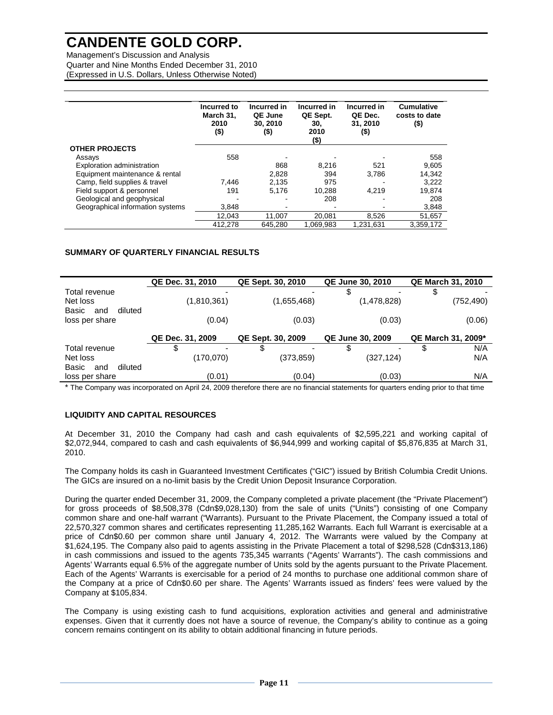Management's Discussion and Analysis Quarter and Nine Months Ended December 31, 2010 (Expressed in U.S. Dollars, Unless Otherwise Noted)

|                                  | Incurred to<br>March 31,<br>2010<br>$($ \$ | Incurred in<br>QE June<br>30.2010<br>(\$) | Incurred in<br>QE Sept.<br>30.<br>2010<br>(\$) | Incurred in<br>QE Dec.<br>31.2010<br>(\$) | <b>Cumulative</b><br>costs to date<br>(\$) |
|----------------------------------|--------------------------------------------|-------------------------------------------|------------------------------------------------|-------------------------------------------|--------------------------------------------|
| <b>OTHER PROJECTS</b>            |                                            |                                           |                                                |                                           |                                            |
| Assays                           | 558                                        |                                           |                                                |                                           | 558                                        |
| Exploration administration       |                                            | 868                                       | 8.216                                          | 521                                       | 9,605                                      |
| Equipment maintenance & rental   |                                            | 2.828                                     | 394                                            | 3,786                                     | 14,342                                     |
| Camp, field supplies & travel    | 7.446                                      | 2.135                                     | 975                                            |                                           | 3,222                                      |
| Field support & personnel        | 191                                        | 5.176                                     | 10,288                                         | 4.219                                     | 19.874                                     |
| Geological and geophysical       |                                            |                                           | 208                                            |                                           | 208                                        |
| Geographical information systems | 3,848                                      |                                           |                                                |                                           | 3,848                                      |
|                                  | 12.043                                     | 11.007                                    | 20.081                                         | 8,526                                     | 51,657                                     |
|                                  | 412,278                                    | 645,280                                   | 1,069,983                                      | 1,231,631                                 | 3,359,172                                  |

### **SUMMARY OF QUARTERLY FINANCIAL RESULTS**

|                         | QE Dec. 31, 2010 | QE Sept. 30, 2010 | <b>QE June 30, 2010</b> | <b>QE March 31, 2010</b> |
|-------------------------|------------------|-------------------|-------------------------|--------------------------|
| Total revenue           |                  |                   | \$                      | \$                       |
| Net loss                | (1,810,361)      | (1,655,468)       | (1,478,828)             | (752,490)                |
| diluted<br>Basic<br>and |                  |                   |                         |                          |
| loss per share          | (0.04)           | (0.03)            | (0.03)                  | (0.06)                   |
|                         |                  |                   |                         |                          |
|                         | QE Dec. 31, 2009 | QE Sept. 30, 2009 | <b>QE June 30, 2009</b> | QE March 31, 2009*       |
| Total revenue           | \$               | \$                | S                       | N/A<br>S                 |
| Net loss                | (170,070)        | (373, 859)        | (327, 124)              | N/A                      |
| diluted<br>Basic<br>and |                  |                   |                         |                          |
| loss per share          | (0.01)           | (0.04)            | (0.03)                  | N/A                      |

\* The Company was incorporated on April 24, 2009 therefore there are no financial statements for quarters ending prior to that time

### **LIQUIDITY AND CAPITAL RESOURCES**

At December 31, 2010 the Company had cash and cash equivalents of \$2,595,221 and working capital of \$2,072,944, compared to cash and cash equivalents of \$6,944,999 and working capital of \$5,876,835 at March 31, 2010.

The Company holds its cash in Guaranteed Investment Certificates ("GIC") issued by British Columbia Credit Unions. The GICs are insured on a no-limit basis by the Credit Union Deposit Insurance Corporation.

During the quarter ended December 31, 2009, the Company completed a private placement (the "Private Placement") for gross proceeds of \$8,508,378 (Cdn\$9,028,130) from the sale of units ("Units") consisting of one Company common share and one-half warrant ("Warrants). Pursuant to the Private Placement, the Company issued a total of 22,570,327 common shares and certificates representing 11,285,162 Warrants. Each full Warrant is exercisable at a price of Cdn\$0.60 per common share until January 4, 2012. The Warrants were valued by the Company at \$1,624,195. The Company also paid to agents assisting in the Private Placement a total of \$298,528 (Cdn\$313,186) in cash commissions and issued to the agents 735,345 warrants ("Agents' Warrants"). The cash commissions and Agents' Warrants equal 6.5% of the aggregate number of Units sold by the agents pursuant to the Private Placement. Each of the Agents' Warrants is exercisable for a period of 24 months to purchase one additional common share of the Company at a price of Cdn\$0.60 per share. The Agents' Warrants issued as finders' fees were valued by the Company at \$105,834.

The Company is using existing cash to fund acquisitions, exploration activities and general and administrative expenses. Given that it currently does not have a source of revenue, the Company's ability to continue as a going concern remains contingent on its ability to obtain additional financing in future periods.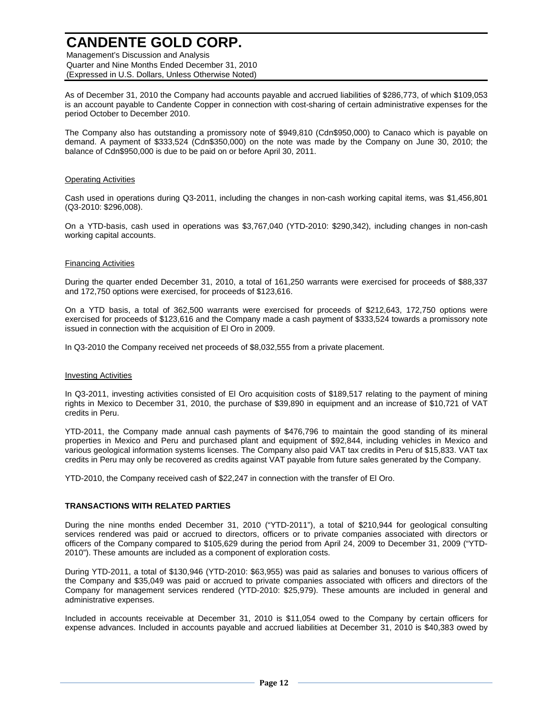Management's Discussion and Analysis Quarter and Nine Months Ended December 31, 2010 (Expressed in U.S. Dollars, Unless Otherwise Noted)

As of December 31, 2010 the Company had accounts payable and accrued liabilities of \$286,773, of which \$109,053 is an account payable to Candente Copper in connection with cost-sharing of certain administrative expenses for the period October to December 2010.

The Company also has outstanding a promissory note of \$949,810 (Cdn\$950,000) to Canaco which is payable on demand. A payment of \$333,524 (Cdn\$350,000) on the note was made by the Company on June 30, 2010; the balance of Cdn\$950,000 is due to be paid on or before April 30, 2011.

#### Operating Activities

Cash used in operations during Q3-2011, including the changes in non-cash working capital items, was \$1,456,801 (Q3-2010: \$296,008).

On a YTD-basis, cash used in operations was \$3,767,040 (YTD-2010: \$290,342), including changes in non-cash working capital accounts.

### Financing Activities

During the quarter ended December 31, 2010, a total of 161,250 warrants were exercised for proceeds of \$88,337 and 172,750 options were exercised, for proceeds of \$123,616.

On a YTD basis, a total of 362,500 warrants were exercised for proceeds of \$212,643, 172,750 options were exercised for proceeds of \$123,616 and the Company made a cash payment of \$333,524 towards a promissory note issued in connection with the acquisition of El Oro in 2009.

In Q3-2010 the Company received net proceeds of \$8,032,555 from a private placement.

#### Investing Activities

In Q3-2011, investing activities consisted of El Oro acquisition costs of \$189,517 relating to the payment of mining rights in Mexico to December 31, 2010, the purchase of \$39,890 in equipment and an increase of \$10,721 of VAT credits in Peru.

YTD-2011, the Company made annual cash payments of \$476,796 to maintain the good standing of its mineral properties in Mexico and Peru and purchased plant and equipment of \$92,844, including vehicles in Mexico and various geological information systems licenses. The Company also paid VAT tax credits in Peru of \$15,833. VAT tax credits in Peru may only be recovered as credits against VAT payable from future sales generated by the Company.

YTD-2010, the Company received cash of \$22,247 in connection with the transfer of El Oro.

### **TRANSACTIONS WITH RELATED PARTIES**

During the nine months ended December 31, 2010 ("YTD-2011"), a total of \$210,944 for geological consulting services rendered was paid or accrued to directors, officers or to private companies associated with directors or officers of the Company compared to \$105,629 during the period from April 24, 2009 to December 31, 2009 ("YTD-2010"). These amounts are included as a component of exploration costs.

During YTD-2011, a total of \$130,946 (YTD-2010: \$63,955) was paid as salaries and bonuses to various officers of the Company and \$35,049 was paid or accrued to private companies associated with officers and directors of the Company for management services rendered (YTD-2010: \$25,979). These amounts are included in general and administrative expenses.

Included in accounts receivable at December 31, 2010 is \$11,054 owed to the Company by certain officers for expense advances. Included in accounts payable and accrued liabilities at December 31, 2010 is \$40,383 owed by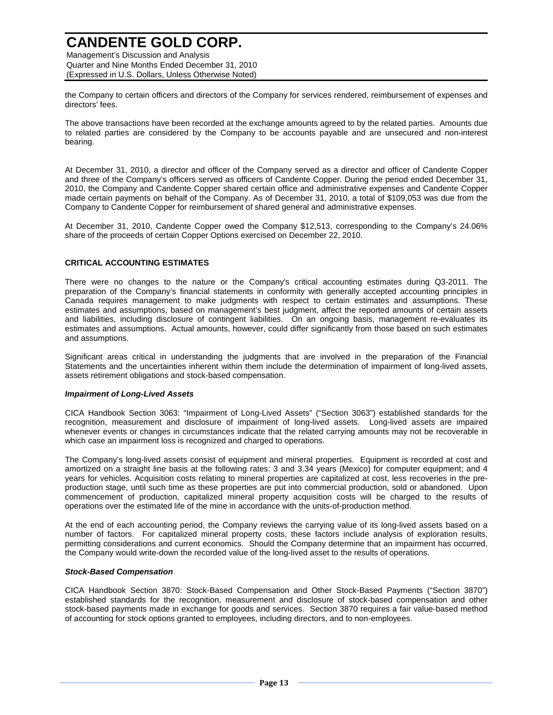Management's Discussion and Analysis Quarter and Nine Months Ended December 31, 2010 (Expressed in U.S. Dollars, Unless Otherwise Noted)

the Company to certain officers and directors of the Company for services rendered, reimbursement of expenses and directors' fees.

The above transactions have been recorded at the exchange amounts agreed to by the related parties. Amounts due to related parties are considered by the Company to be accounts payable and are unsecured and non-interest bearing.

At December 31, 2010, a director and officer of the Company served as a director and officer of Candente Copper and three of the Company's officers served as officers of Candente Copper. During the period ended December 31, 2010, the Company and Candente Copper shared certain office and administrative expenses and Candente Copper made certain payments on behalf of the Company. As of December 31, 2010, a total of \$109,053 was due from the Company to Candente Copper for reimbursement of shared general and administrative expenses.

At December 31, 2010, Candente Copper owed the Company \$12,513, corresponding to the Company's 24.06% share of the proceeds of certain Copper Options exercised on December 22, 2010.

### **CRITICAL ACCOUNTING ESTIMATES**

There were no changes to the nature or the Company's critical accounting estimates during Q3-2011. The preparation of the Company's financial statements in conformity with generally accepted accounting principles in Canada requires management to make judgments with respect to certain estimates and assumptions. These estimates and assumptions, based on management's best judgment, affect the reported amounts of certain assets and liabilities, including disclosure of contingent liabilities. On an ongoing basis, management re-evaluates its estimates and assumptions. Actual amounts, however, could differ significantly from those based on such estimates and assumptions.

Significant areas critical in understanding the judgments that are involved in the preparation of the Financial Statements and the uncertainties inherent within them include the determination of impairment of long-lived assets, assets retirement obligations and stock-based compensation.

#### **Impairment of Long-Lived Assets**

CICA Handbook Section 3063: "Impairment of Long-Lived Assets" ("Section 3063") established standards for the recognition, measurement and disclosure of impairment of long-lived assets. Long-lived assets are impaired whenever events or changes in circumstances indicate that the related carrying amounts may not be recoverable in which case an impairment loss is recognized and charged to operations.

The Company's long-lived assets consist of equipment and mineral properties. Equipment is recorded at cost and amortized on a straight line basis at the following rates: 3 and 3.34 years (Mexico) for computer equipment; and 4 years for vehicles. Acquisition costs relating to mineral properties are capitalized at cost, less recoveries in the preproduction stage, until such time as these properties are put into commercial production, sold or abandoned. Upon commencement of production, capitalized mineral property acquisition costs will be charged to the results of operations over the estimated life of the mine in accordance with the units-of-production method.

At the end of each accounting period, the Company reviews the carrying value of its long-lived assets based on a number of factors. For capitalized mineral property costs, these factors include analysis of exploration results, permitting considerations and current economics. Should the Company determine that an impairment has occurred, the Company would write-down the recorded value of the long-lived asset to the results of operations.

#### **Stock-Based Compensation**

CICA Handbook Section 3870: Stock-Based Compensation and Other Stock-Based Payments ("Section 3870") established standards for the recognition, measurement and disclosure of stock-based compensation and other stock-based payments made in exchange for goods and services. Section 3870 requires a fair value-based method of accounting for stock options granted to employees, including directors, and to non-employees.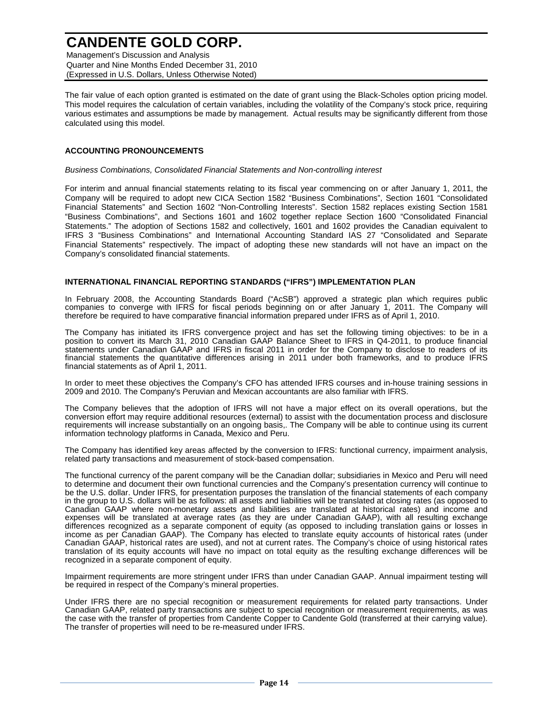Management's Discussion and Analysis Quarter and Nine Months Ended December 31, 2010 (Expressed in U.S. Dollars, Unless Otherwise Noted)

The fair value of each option granted is estimated on the date of grant using the Black-Scholes option pricing model. This model requires the calculation of certain variables, including the volatility of the Company's stock price, requiring various estimates and assumptions be made by management. Actual results may be significantly different from those calculated using this model.

#### **ACCOUNTING PRONOUNCEMENTS**

Business Combinations, Consolidated Financial Statements and Non-controlling interest

For interim and annual financial statements relating to its fiscal year commencing on or after January 1, 2011, the Company will be required to adopt new CICA Section 1582 "Business Combinations", Section 1601 "Consolidated Financial Statements" and Section 1602 "Non-Controlling Interests". Section 1582 replaces existing Section 1581 "Business Combinations", and Sections 1601 and 1602 together replace Section 1600 "Consolidated Financial Statements." The adoption of Sections 1582 and collectively, 1601 and 1602 provides the Canadian equivalent to IFRS 3 "Business Combinations" and International Accounting Standard IAS 27 "Consolidated and Separate Financial Statements" respectively. The impact of adopting these new standards will not have an impact on the Company's consolidated financial statements.

### **INTERNATIONAL FINANCIAL REPORTING STANDARDS ("IFRS") IMPLEMENTATION PLAN**

In February 2008, the Accounting Standards Board ("AcSB") approved a strategic plan which requires public companies to converge with IFRS for fiscal periods beginning on or after January 1, 2011. The Company will therefore be required to have comparative financial information prepared under IFRS as of April 1, 2010.

The Company has initiated its IFRS convergence project and has set the following timing objectives: to be in a position to convert its March 31, 2010 Canadian GAAP Balance Sheet to IFRS in Q4-2011, to produce financial statements under Canadian GAAP and IFRS in fiscal 2011 in order for the Company to disclose to readers of its financial statements the quantitative differences arising in 2011 under both frameworks, and to produce IFRS financial statements as of April 1, 2011.

In order to meet these objectives the Company's CFO has attended IFRS courses and in-house training sessions in 2009 and 2010. The Company's Peruvian and Mexican accountants are also familiar with IFRS.

The Company believes that the adoption of IFRS will not have a major effect on its overall operations, but the conversion effort may require additional resources (external) to assist with the documentation process and disclosure requirements will increase substantially on an ongoing basis,. The Company will be able to continue using its current information technology platforms in Canada, Mexico and Peru.

The Company has identified key areas affected by the conversion to IFRS: functional currency, impairment analysis, related party transactions and measurement of stock-based compensation.

The functional currency of the parent company will be the Canadian dollar; subsidiaries in Mexico and Peru will need to determine and document their own functional currencies and the Company's presentation currency will continue to be the U.S. dollar. Under IFRS, for presentation purposes the translation of the financial statements of each company in the group to U.S. dollars will be as follows: all assets and liabilities will be translated at closing rates (as opposed to Canadian GAAP where non-monetary assets and liabilities are translated at historical rates) and income and expenses will be translated at average rates (as they are under Canadian GAAP), with all resulting exchange differences recognized as a separate component of equity (as opposed to including translation gains or losses in income as per Canadian GAAP). The Company has elected to translate equity accounts of historical rates (under Canadian GAAP, historical rates are used), and not at current rates. The Company's choice of using historical rates translation of its equity accounts will have no impact on total equity as the resulting exchange differences will be recognized in a separate component of equity.

Impairment requirements are more stringent under IFRS than under Canadian GAAP. Annual impairment testing will be required in respect of the Company's mineral properties.

Under IFRS there are no special recognition or measurement requirements for related party transactions. Under Canadian GAAP, related party transactions are subject to special recognition or measurement requirements, as was the case with the transfer of properties from Candente Copper to Candente Gold (transferred at their carrying value). The transfer of properties will need to be re-measured under IFRS.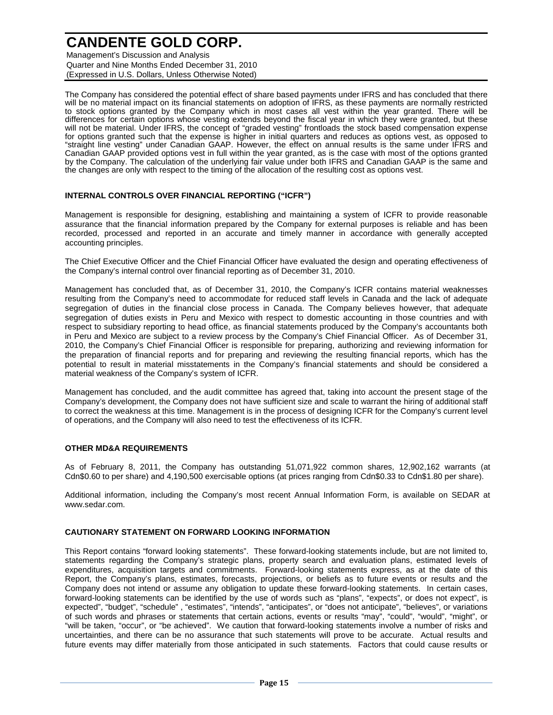Management's Discussion and Analysis Quarter and Nine Months Ended December 31, 2010 (Expressed in U.S. Dollars, Unless Otherwise Noted)

The Company has considered the potential effect of share based payments under IFRS and has concluded that there will be no material impact on its financial statements on adoption of IFRS, as these payments are normally restricted to stock options granted by the Company which in most cases all vest within the year granted. There will be differences for certain options whose vesting extends beyond the fiscal year in which they were granted, but these will not be material. Under IFRS, the concept of "graded vesting" frontloads the stock based compensation expense for options granted such that the expense is higher in initial quarters and reduces as options vest, as opposed to "straight line vesting" under Canadian GAAP. However, the effect on annual results is the same under IFRS and Canadian GAAP provided options vest in full within the year granted, as is the case with most of the options granted by the Company. The calculation of the underlying fair value under both IFRS and Canadian GAAP is the same and the changes are only with respect to the timing of the allocation of the resulting cost as options vest.

### **INTERNAL CONTROLS OVER FINANCIAL REPORTING ("ICFR")**

Management is responsible for designing, establishing and maintaining a system of ICFR to provide reasonable assurance that the financial information prepared by the Company for external purposes is reliable and has been recorded, processed and reported in an accurate and timely manner in accordance with generally accepted accounting principles.

The Chief Executive Officer and the Chief Financial Officer have evaluated the design and operating effectiveness of the Company's internal control over financial reporting as of December 31, 2010.

Management has concluded that, as of December 31, 2010, the Company's ICFR contains material weaknesses resulting from the Company's need to accommodate for reduced staff levels in Canada and the lack of adequate segregation of duties in the financial close process in Canada. The Company believes however, that adequate segregation of duties exists in Peru and Mexico with respect to domestic accounting in those countries and with respect to subsidiary reporting to head office, as financial statements produced by the Company's accountants both in Peru and Mexico are subject to a review process by the Company's Chief Financial Officer. As of December 31, 2010, the Company's Chief Financial Officer is responsible for preparing, authorizing and reviewing information for the preparation of financial reports and for preparing and reviewing the resulting financial reports, which has the potential to result in material misstatements in the Company's financial statements and should be considered a material weakness of the Company's system of ICFR.

Management has concluded, and the audit committee has agreed that, taking into account the present stage of the Company's development, the Company does not have sufficient size and scale to warrant the hiring of additional staff to correct the weakness at this time. Management is in the process of designing ICFR for the Company's current level of operations, and the Company will also need to test the effectiveness of its ICFR.

#### **OTHER MD&A REQUIREMENTS**

As of February 8, 2011, the Company has outstanding 51,071,922 common shares, 12,902,162 warrants (at Cdn\$0.60 to per share) and 4,190,500 exercisable options (at prices ranging from Cdn\$0.33 to Cdn\$1.80 per share).

Additional information, including the Company's most recent Annual Information Form, is available on SEDAR at www.sedar.com.

#### **CAUTIONARY STATEMENT ON FORWARD LOOKING INFORMATION**

This Report contains "forward looking statements". These forward-looking statements include, but are not limited to, statements regarding the Company's strategic plans, property search and evaluation plans, estimated levels of expenditures, acquisition targets and commitments. Forward-looking statements express, as at the date of this Report, the Company's plans, estimates, forecasts, projections, or beliefs as to future events or results and the Company does not intend or assume any obligation to update these forward-looking statements. In certain cases, forward-looking statements can be identified by the use of words such as "plans", "expects", or does not expect", is expected", "budget", "schedule" , "estimates", "intends", "anticipates", or "does not anticipate", "believes", or variations of such words and phrases or statements that certain actions, events or results "may", "could", "would", "might", or "will be taken, "occur", or "be achieved". We caution that forward-looking statements involve a number of risks and uncertainties, and there can be no assurance that such statements will prove to be accurate. Actual results and future events may differ materially from those anticipated in such statements. Factors that could cause results or